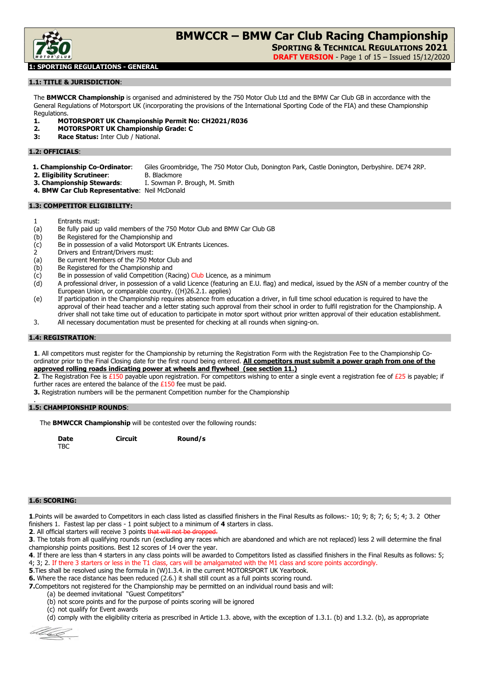

SPORTING & TECHNICAL REGULATIONS 2021

DRAFT VERSION - Page 1 of 15 – Issued 15/12/2020

## **G REGULATIONS - GENERA**

### 1.1: TITLE & JURISDICTION:

The **BMWCCR Championship** is organised and administered by the 750 Motor Club Ltd and the BMW Car Club GB in accordance with the General Regulations of Motorsport UK (incorporating the provisions of the International Sporting Code of the FIA) and these Championship Regulations.

- 1. MOTORSPORT UK Championship Permit No: CH2021/R036
- 2. MOTORSPORT UK Championship Grade: C
- 3: Race Status: Inter Club / National.

### 1.2: OFFICIALS:

- 1. Championship Co-Ordinator: Giles Groombridge, The 750 Motor Club, Donington Park, Castle Donington, Derbyshire, DE74 2RP.
- 
- **2. Eligibility Scrutineer:** B. Blackmore<br>**3. Championship Stewards:** I. Sowman P. I. Sowman P. Brough, M. Smith
- 4. BMW Car Club Representative: Neil McDonald

### 1.3: COMPETITOR ELIGIBILITY:

- 1 Entrants must:
- (a) Be fully paid up valid members of the 750 Motor Club and BMW Car Club GB
- (b) Be Registered for the Championship and
- (c) Be in possession of a valid Motorsport UK Entrants Licences.
- 2 Drivers and Entrant/Drivers must:<br>(a) Be current Members of the 750 M
- Be current Members of the 750 Motor Club and
- (b) Be Registered for the Championship and
- (c) Be in possession of valid Competition (Racing) Club Licence, as a minimum
- (d) A professional driver, in possession of a valid Licence (featuring an E.U. flag) and medical, issued by the ASN of a member country of the European Union, or comparable country. ((H)26.2.1. applies)
- (e) If participation in the Championship requires absence from education a driver, in full time school education is required to have the approval of their head teacher and a letter stating such approval from their school in order to fulfil registration for the Championship. A driver shall not take time out of education to participate in motor sport without prior written approval of their education establishment.
- 3. All necessary documentation must be presented for checking at all rounds when signing-on.

### 1.4: REGISTRATION:

1. All competitors must register for the Championship by returning the Registration Form with the Registration Fee to the Championship Coordinator prior to the Final Closing date for the first round being entered. All competitors must submit a power graph from one of the approved rolling roads indicating power at wheels and flywheel (see section 11.)

2. The Registration Fee is £150 payable upon registration. For competitors wishing to enter a single event a registration fee of  $E25$  is payable; if further races are entered the balance of the  $£150$  fee must be paid.

3. Registration numbers will be the permanent Competition number for the Championship

#### . 1.5: CHAMPIONSHIP ROUNDS:

The **BMWCCR Championship** will be contested over the following rounds:

Date Circuit Round/s TBC

### 1.6: SCORING:

1.Points will be awarded to Competitors in each class listed as classified finishers in the Final Results as follows:- 10; 9; 8; 7; 6; 5; 4; 3. 2 Other finishers 1. Fastest lap per class - 1 point subject to a minimum of 4 starters in class.

2. All official starters will receive 3 points that will not be dropped

3. The totals from all qualifying rounds run (excluding any races which are abandoned and which are not replaced) less 2 will determine the final championship points positions. Best 12 scores of 14 over the year.

4. If there are less than 4 starters in any class points will be awarded to Competitors listed as classified finishers in the Final Results as follows: 5; 4; 3; 2. If there 3 starters or less in the T1 class, cars will be amalgamated with the M1 class and score points accordingly.

5. Ties shall be resolved using the formula in (W)1.3.4. in the current MOTORSPORT UK Yearbook.

6. Where the race distance has been reduced (2.6.) it shall still count as a full points scoring round.

7.Competitors not registered for the Championship may be permitted on an individual round basis and will:

- (a) be deemed invitational "Guest Competitors"
- (b) not score points and for the purpose of points scoring will be ignored

(c) not qualify for Event awards

(d) comply with the eligibility criteria as prescribed in Article 1.3. above, with the exception of 1.3.1. (b) and 1.3.2. (b), as appropriate

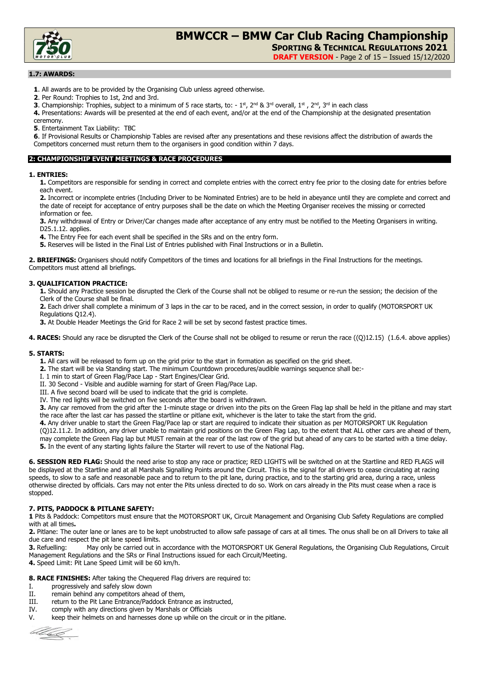

SPORTING & TECHNICAL REGULATIONS 2021

DRAFT VERSION - Page 2 of 15 – Issued 15/12/2020

### 1.7: AWARDS:

1. All awards are to be provided by the Organising Club unless agreed otherwise.

- 2. Per Round: Trophies to 1st, 2nd and 3rd.
- **3.** Championship: Trophies, subject to a minimum of 5 race starts, to: 1st, 2<sup>nd</sup> & 3<sup>rd</sup> overall, 1st, 2<sup>nd</sup>, 3<sup>rd</sup> in each class

4. Presentations: Awards will be presented at the end of each event, and/or at the end of the Championship at the designated presentation ceremony.

5. Entertainment Tax Liability: TBC

6. If Provisional Results or Championship Tables are revised after any presentations and these revisions affect the distribution of awards the Competitors concerned must return them to the organisers in good condition within 7 days.

### 2: CHAMPIONSHIP EVENT MEETINGS & RACE PROCEDURES

### 1. ENTRIES:

1. Competitors are responsible for sending in correct and complete entries with the correct entry fee prior to the closing date for entries before each event.

2. Incorrect or incomplete entries (Including Driver to be Nominated Entries) are to be held in abeyance until they are complete and correct and the date of receipt for acceptance of entry purposes shall be the date on which the Meeting Organiser receives the missing or corrected information or fee.

3. Any withdrawal of Entry or Driver/Car changes made after acceptance of any entry must be notified to the Meeting Organisers in writing. D<sub>25</sub>.1.12. applies.

4. The Entry Fee for each event shall be specified in the SRs and on the entry form.

5. Reserves will be listed in the Final List of Entries published with Final Instructions or in a Bulletin.

2. BRIEFINGS: Organisers should notify Competitors of the times and locations for all briefings in the Final Instructions for the meetings. Competitors must attend all briefings.

### 3. QUALIFICATION PRACTICE:

1. Should any Practice session be disrupted the Clerk of the Course shall not be obliged to resume or re-run the session; the decision of the Clerk of the Course shall be final.

2. Each driver shall complete a minimum of 3 laps in the car to be raced, and in the correct session, in order to qualify (MOTORSPORT UK Regulations Q12.4).

**3.** At Double Header Meetings the Grid for Race 2 will be set by second fastest practice times.

4. RACES: Should any race be disrupted the Clerk of the Course shall not be obliged to resume or rerun the race ((Q)12.15) (1.6.4. above applies)

### 5. STARTS:

1. All cars will be released to form up on the grid prior to the start in formation as specified on the grid sheet.

2. The start will be via Standing start. The minimum Countdown procedures/audible warnings sequence shall be:-

I. 1 min to start of Green Flag/Pace Lap - Start Engines/Clear Grid.

II. 30 Second - Visible and audible warning for start of Green Flag/Pace Lap.

III. A five second board will be used to indicate that the grid is complete.

IV. The red lights will be switched on five seconds after the board is withdrawn.

3. Any car removed from the grid after the 1-minute stage or driven into the pits on the Green Flag lap shall be held in the pitlane and may start the race after the last car has passed the startline or pitlane exit, whichever is the later to take the start from the grid.

4. Any driver unable to start the Green Flag/Pace lap or start are required to indicate their situation as per MOTORSPORT UK Regulation

(Q)12.11.2. In addition, any driver unable to maintain grid positions on the Green Flag Lap, to the extent that ALL other cars are ahead of them, may complete the Green Flag lap but MUST remain at the rear of the last row of the grid but ahead of any cars to be started with a time delay. 5. In the event of any starting lights failure the Starter will revert to use of the National Flag.

6. SESSION RED FLAG: Should the need arise to stop any race or practice; RED LIGHTS will be switched on at the Startline and RED FLAGS will be displayed at the Startline and at all Marshals Signalling Points around the Circuit. This is the signal for all drivers to cease circulating at racing speeds, to slow to a safe and reasonable pace and to return to the pit lane, during practice, and to the starting grid area, during a race, unless otherwise directed by officials. Cars may not enter the Pits unless directed to do so. Work on cars already in the Pits must cease when a race is stopped.

### 7. PITS, PADDOCK & PITLANE SAFETY:

1 Pits & Paddock: Competitors must ensure that the MOTORSPORT UK, Circuit Management and Organising Club Safety Regulations are complied with at all times.

2. Pitlane: The outer lane or lanes are to be kept unobstructed to allow safe passage of cars at all times. The onus shall be on all Drivers to take all due care and respect the pit lane speed limits.

3. Refuelling: May only be carried out in accordance with the MOTORSPORT UK General Regulations, the Organising Club Regulations, Circuit Management Regulations and the SRs or Final Instructions issued for each Circuit/Meeting.

4. Speed Limit: Pit Lane Speed Limit will be 60 km/h.

8. RACE FINISHES: After taking the Chequered Flag drivers are required to:

- I. progressively and safely slow down
- II. remain behind any competitors ahead of them,
- III. return to the Pit Lane Entrance/Paddock Entrance as instructed,
- IV. comply with any directions given by Marshals or Officials
- V. keep their helmets on and harnesses done up while on the circuit or in the pitlane.

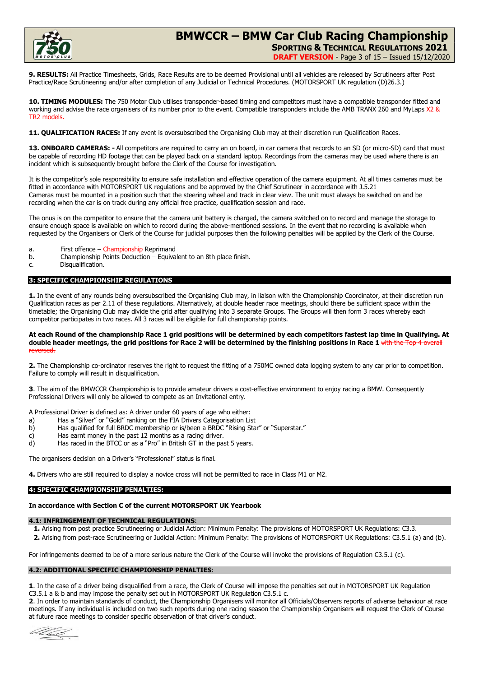

# BMWCCR – BMW Car Club Racing Championship SPORTING & TECHNICAL REGULATIONS 2021 DRAFT VERSION - Page 3 of 15 – Issued 15/12/2020

9. RESULTS: All Practice Timesheets, Grids, Race Results are to be deemed Provisional until all vehicles are released by Scrutineers after Post Practice/Race Scrutineering and/or after completion of any Judicial or Technical Procedures. (MOTORSPORT UK regulation (D)26.3.)

10. TIMING MODULES: The 750 Motor Club utilises transponder-based timing and competitors must have a compatible transponder fitted and working and advise the race organisers of its number prior to the event. Compatible transponders include the AMB TRANX 260 and MyLaps X2 & TR2 models.

11. QUALIFICATION RACES: If any event is oversubscribed the Organising Club may at their discretion run Qualification Races.

13. ONBOARD CAMERAS: - All competitors are required to carry an on board, in car camera that records to an SD (or micro-SD) card that must be capable of recording HD footage that can be played back on a standard laptop. Recordings from the cameras may be used where there is an incident which is subsequently brought before the Clerk of the Course for investigation.

It is the competitor's sole responsibility to ensure safe installation and effective operation of the camera equipment. At all times cameras must be fitted in accordance with MOTORSPORT UK regulations and be approved by the Chief Scrutineer in accordance with J.5.21 Cameras must be mounted in a position such that the steering wheel and track in clear view. The unit must always be switched on and be recording when the car is on track during any official free practice, qualification session and race.

The onus is on the competitor to ensure that the camera unit battery is charged, the camera switched on to record and manage the storage to ensure enough space is available on which to record during the above-mentioned sessions. In the event that no recording is available when requested by the Organisers or Clerk of the Course for judicial purposes then the following penalties will be applied by the Clerk of the Course.

- a. First offence Championship Reprimand
- b. Championship Points Deduction Equivalent to an 8th place finish.
- c. Disqualification.

### 3: SPECIFIC CHAMPIONSHIP REGULATIONS

1. In the event of any rounds being oversubscribed the Organising Club may, in liaison with the Championship Coordinator, at their discretion run Qualification races as per 2.11 of these regulations. Alternatively, at double header race meetings, should there be sufficient space within the timetable; the Organising Club may divide the grid after qualifying into 3 separate Groups. The Groups will then form 3 races whereby each competitor participates in two races. All 3 races will be eligible for full championship points.

### At each Round of the championship Race 1 grid positions will be determined by each competitors fastest lap time in Qualifying. At double header meetings, the grid positions for Race 2 will be determined by the finishing positions in Race 1 with the Top 4 over reversed.

2. The Championship co-ordinator reserves the right to request the fitting of a 750MC owned data logging system to any car prior to competition. Failure to comply will result in disqualification.

3. The aim of the BMWCCR Championship is to provide amateur drivers a cost-effective environment to enjoy racing a BMW. Consequently Professional Drivers will only be allowed to compete as an Invitational entry.

A Professional Driver is defined as: A driver under 60 years of age who either:

- a) Has a "Silver" or "Gold" ranking on the FIA Drivers Categorisation List
- b) Has qualified for full BRDC membership or is/been a BRDC "Rising Star" or "Superstar."
- c) Has earnt money in the past 12 months as a racing driver.
- d) Has raced in the BTCC or as a "Pro" in British GT in the past 5 years.

The organisers decision on a Driver's "Professional" status is final.

4. Drivers who are still required to display a novice cross will not be permitted to race in Class M1 or M2.

### 4: SPECIFIC CHAMPIONSHIP PENALTIES:

### In accordance with Section C of the current MOTORSPORT UK Yearbook

### 4.1: INFRINGEMENT OF TECHNICAL REGULATIONS:

- 1. Arising from post practice Scrutineering or Judicial Action: Minimum Penalty: The provisions of MOTORSPORT UK Regulations: C3.3.
- 2. Arising from post-race Scrutineering or Judicial Action: Minimum Penalty: The provisions of MOTORSPORT UK Regulations: C3.5.1 (a) and (b).

For infringements deemed to be of a more serious nature the Clerk of the Course will invoke the provisions of Regulation C3.5.1 (c).

### 4.2: ADDITIONAL SPECIFIC CHAMPIONSHIP PENALTIES:

1. In the case of a driver being disqualified from a race, the Clerk of Course will impose the penalties set out in MOTORSPORT UK Regulation C3.5.1 a & b and may impose the penalty set out in MOTORSPORT UK Regulation C3.5.1 c.

2. In order to maintain standards of conduct, the Championship Organisers will monitor all Officials/Observers reports of adverse behaviour at race meetings. If any individual is included on two such reports during one racing season the Championship Organisers will request the Clerk of Course at future race meetings to consider specific observation of that driver's conduct.

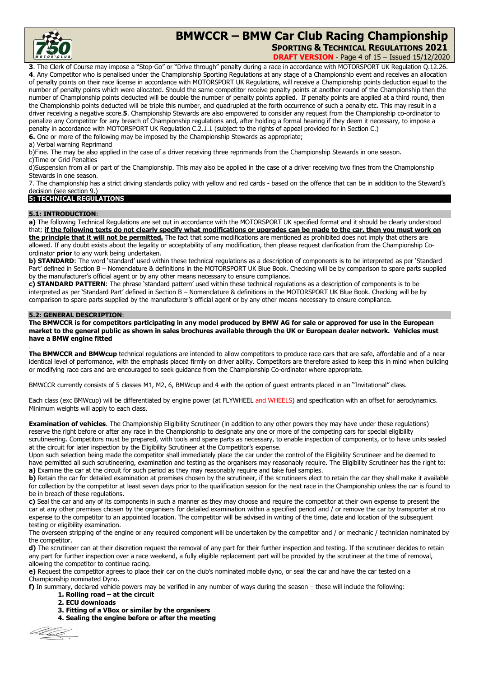

# BMWCCR – BMW Car Club Racing Championship SPORTING & TECHNICAL REGULATIONS 2021

DRAFT VERSION - Page 4 of 15 – Issued 15/12/2020

3. The Clerk of Course may impose a "Stop-Go" or "Drive through" penalty during a race in accordance with MOTORSPORT UK Regulation Q.12.26. 4. Any Competitor who is penalised under the Championship Sporting Regulations at any stage of a Championship event and receives an allocation of penalty points on their race license in accordance with MOTORSPORT UK Regulations, will receive a Championship points deduction equal to the number of penalty points which were allocated. Should the same competitor receive penalty points at another round of the Championship then the number of Championship points deducted will be double the number of penalty points applied. If penalty points are applied at a third round, then the Championship points deducted will be triple this number, and quadrupled at the forth occurrence of such a penalty etc. This may result in a driver receiving a negative score.5. Championship Stewards are also empowered to consider any request from the Championship co-ordinator to penalize any Competitor for any breach of Championship regulations and, after holding a formal hearing if they deem it necessary, to impose a penalty in accordance with MOTORSPORT UK Regulation C.2.1.1 (subject to the rights of appeal provided for in Section C.)

6. One or more of the following may be imposed by the Championship Stewards as appropriate;

a) Verbal warning Reprimand

b)Fine. The may be also applied in the case of a driver receiving three reprimands from the Championship Stewards in one season. c)Time or Grid Penalties

d)Suspension from all or part of the Championship. This may also be applied in the case of a driver receiving two fines from the Championship Stewards in one season.

7. The championship has a strict driving standards policy with yellow and red cards - based on the offence that can be in addition to the Steward's decision (see section 9.)

### 5: TECHNICAL REGULATIONS

### 5.1: INTRODUCTION:

a) The following Technical Regulations are set out in accordance with the MOTORSPORT UK specified format and it should be clearly understood that; if the following texts do not clearly specify what modifications or upgrades can be made to the car, then you must work on the principle that it will not be permitted. The fact that some modifications are mentioned as prohibited does not imply that others are allowed. If any doubt exists about the legality or acceptability of any modification, then please request clarification from the Championship Coordinator **prior** to any work being undertaken.

b) STANDARD: The word 'standard' used within these technical regulations as a description of components is to be interpreted as per 'Standard Part' defined in Section B – Nomenclature & definitions in the MOTORSPORT UK Blue Book. Checking will be by comparison to spare parts supplied by the manufacturer's official agent or by any other means necessary to ensure compliance.

c) STANDARD PATTERN: The phrase 'standard pattern' used within these technical regulations as a description of components is to be interpreted as per 'Standard Part' defined in Section B – Nomenclature & definitions in the MOTORSPORT UK Blue Book. Checking will be by comparison to spare parts supplied by the manufacturer's official agent or by any other means necessary to ensure compliance.

### 5.2: GENERAL DESCRIPTION:

.

The BMWCCR is for competitors participating in any model produced by BMW AG for sale or approved for use in the European market to the general public as shown in sales brochures available through the UK or European dealer network. Vehicles must have a BMW engine fitted

The BMWCCR and BMWcup technical regulations are intended to allow competitors to produce race cars that are safe, affordable and of a near identical level of performance, with the emphasis placed firmly on driver ability. Competitors are therefore asked to keep this in mind when building or modifying race cars and are encouraged to seek guidance from the Championship Co-ordinator where appropriate.

BMWCCR currently consists of 5 classes M1, M2, 6, BMWcup and 4 with the option of guest entrants placed in an "Invitational" class.

Each class (exc BMWcup) will be differentiated by engine power (at FLYWHEEL and WHEELS) and specification with an offset for aerodynamics. Minimum weights will apply to each class.

**Examination of vehicles**. The Championship Eligibility Scrutineer (in addition to any other powers they may have under these regulations) reserve the right before or after any race in the Championship to designate any one or more of the competing cars for special eligibility scrutineering. Competitors must be prepared, with tools and spare parts as necessary, to enable inspection of components, or to have units sealed at the circuit for later inspection by the Eligibility Scrutineer at the Competitor's expense.

Upon such selection being made the competitor shall immediately place the car under the control of the Eligibility Scrutineer and be deemed to have permitted all such scrutineering, examination and testing as the organisers may reasonably require. The Eligibility Scrutineer has the right to: a) Examine the car at the circuit for such period as they may reasonably require and take fuel samples.

b) Retain the car for detailed examination at premises chosen by the scrutineer, if the scrutineers elect to retain the car they shall make it available for collection by the competitor at least seven days prior to the qualification session for the next race in the Championship unless the car is found to be in breach of these regulations.

c) Seal the car and any of its components in such a manner as they may choose and require the competitor at their own expense to present the car at any other premises chosen by the organisers for detailed examination within a specified period and / or remove the car by transporter at no expense to the competitor to an appointed location. The competitor will be advised in writing of the time, date and location of the subsequent testing or eligibility examination.

The overseen stripping of the engine or any required component will be undertaken by the competitor and / or mechanic / technician nominated by the competitor.

d) The scrutineer can at their discretion request the removal of any part for their further inspection and testing. If the scrutineer decides to retain any part for further inspection over a race weekend, a fully eligible replacement part will be provided by the scrutineer at the time of removal, allowing the competitor to continue racing.

e) Request the competitor agrees to place their car on the club's nominated mobile dyno, or seal the car and have the car tested on a Championship nominated Dyno.

f) In summary, declared vehicle powers may be verified in any number of ways during the season – these will include the following: 1. Rolling road – at the circuit

- 2. ECU downloads
- 3. Fitting of a VBox or similar by the organisers
- 4. Sealing the engine before or after the meeting

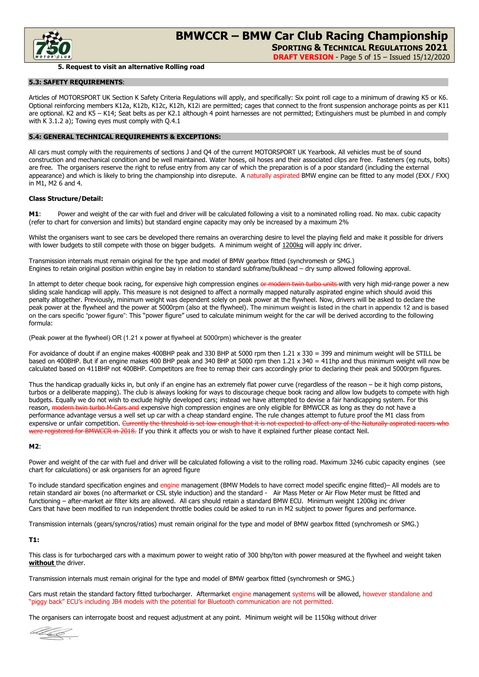

 SPORTING & TECHNICAL REGULATIONS 2021 DRAFT VERSION - Page 5 of 15 – Issued 15/12/2020

5. Request to visit an alternative Rolling road

### 5.3: SAFETY REQUIREMENTS:

Articles of MOTORSPORT UK Section K Safety Criteria Regulations will apply, and specifically: Six point roll cage to a minimum of drawing K5 or K6. Optional reinforcing members K12a, K12b, K12c, K12h, K12i are permitted; cages that connect to the front suspension anchorage points as per K11 are optional. K2 and K5 – K14; Seat belts as per K2.1 although 4 point harnesses are not permitted; Extinguishers must be plumbed in and comply with K 3.1.2 a); Towing eyes must comply with Q.4.1

### 5.4: GENERAL TECHNICAL REQUIREMENTS & EXCEPTIONS:

All cars must comply with the requirements of sections J and Q4 of the current MOTORSPORT UK Yearbook. All vehicles must be of sound construction and mechanical condition and be well maintained. Water hoses, oil hoses and their associated clips are free. Fasteners (eg nuts, bolts) are free. The organisers reserve the right to refuse entry from any car of which the preparation is of a poor standard (including the external appearance) and which is likely to bring the championship into disrepute. A naturally aspirated BMW engine can be fitted to any model (EXX / FXX) in M1, M2 6 and 4.

### Class Structure/Detail:

M1: Power and weight of the car with fuel and driver will be calculated following a visit to a nominated rolling road. No max. cubic capacity (refer to chart for conversion and limits) but standard engine capacity may only be increased by a maximum 2%

Whilst the organisers want to see cars be developed there remains an overarching desire to level the playing field and make it possible for drivers with lower budgets to still compete with those on bigger budgets. A minimum weight of 1200kg will apply inc driver.

Transmission internals must remain original for the type and model of BMW gearbox fitted (synchromesh or SMG.) Engines to retain original position within engine bay in relation to standard subframe/bulkhead – dry sump allowed following approval.

In attempt to deter cheque book racing, for expensive high compression engines or modern twin turbo units with very high mid-range power a new sliding scale handicap will apply. This measure is not designed to affect a normally mapped naturally aspirated engine which should avoid this penalty altogether. Previously, minimum weight was dependent solely on peak power at the flywheel. Now, drivers will be asked to declare the peak power at the flywheel and the power at 5000rpm (also at the flywheel). The minimum weight is listed in the chart in appendix 12 and is based on the cars specific "power figure": This "power figure" used to calculate minimum weight for the car will be derived according to the following formula:

(Peak power at the flywheel) OR (1.21 x power at flywheel at 5000rpm) whichever is the greater

For avoidance of doubt if an engine makes 400BHP peak and 330 BHP at 5000 rpm then 1.21 x 330 = 399 and minimum weight will be STILL be based on 400BHP. But if an engine makes 400 BHP peak and 340 BHP at 5000 rpm then 1.21 x 340 = 411hp and thus minimum weight will now be calculated based on 411BHP not 400BHP. Competitors are free to remap their cars accordingly prior to declaring their peak and 5000rpm figures.

Thus the handicap gradually kicks in, but only if an engine has an extremely flat power curve (regardless of the reason – be it high comp pistons, turbos or a deliberate mapping). The club is always looking for ways to discourage cheque book racing and allow low budgets to compete with high budgets. Equally we do not wish to exclude highly developed cars; instead we have attempted to devise a fair handicapping system. For this reason, modern twin turbo M-Cars and expensive high compression engines are only eligible for BMWCCR as long as they do not have a performance advantage versus a well set up car with a cheap standard engine. The rule changes attempt to future proof the M1 class from expensive or unfair competition. Currently the threshold is not expected to a  $\epsilon$ ed for BMWCCR in 2018. If you think it affects you or wish to have it explained further please contact Neil.

### M2:

Power and weight of the car with fuel and driver will be calculated following a visit to the rolling road. Maximum 3246 cubic capacity engines (see chart for calculations) or ask organisers for an agreed figure

To include standard specification engines and engine management (BMW Models to have correct model specific engine fitted)– All models are to retain standard air boxes (no aftermarket or CSL style induction) and the standard - Air Mass Meter or Air Flow Meter must be fitted and functioning – after-market air filter kits are allowed. All cars should retain a standard BMW ECU. Minimum weight 1200kg inc driver Cars that have been modified to run independent throttle bodies could be asked to run in M2 subject to power figures and performance.

Transmission internals (gears/syncros/ratios) must remain original for the type and model of BMW gearbox fitted (synchromesh or SMG.)

## T1:

This class is for turbocharged cars with a maximum power to weight ratio of 300 bhp/ton with power measured at the flywheel and weight taken without the driver.

Transmission internals must remain original for the type and model of BMW gearbox fitted (synchromesh or SMG.)

Cars must retain the standard factory fitted turbocharger. Aftermarket engine management systems will be allowed, however standalone and "piggy back" ECU's including JB4 models with the potential for Bluetooth communication are not permitted.

The organisers can interrogate boost and request adjustment at any point. Minimum weight will be 1150kg without driver

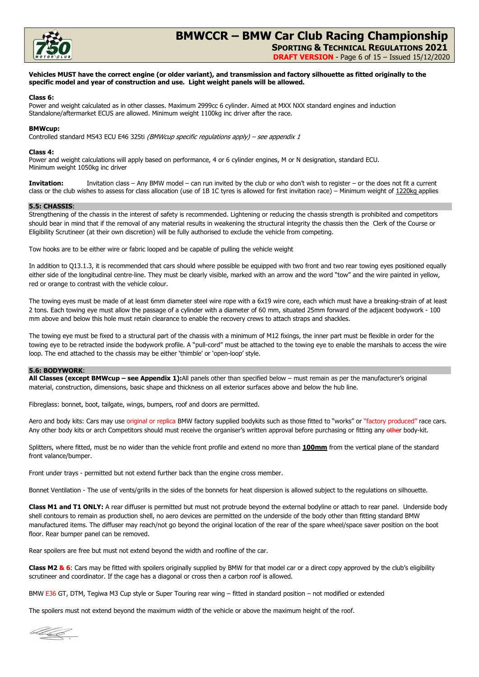

# BMWCCR – BMW Car Club Racing Championship SPORTING & TECHNICAL REGULATIONS 2021

## DRAFT VERSION - Page 6 of 15 – Issued 15/12/2020

### Vehicles MUST have the correct engine (or older variant), and transmission and factory silhouette as fitted originally to the specific model and year of construction and use. Light weight panels will be allowed.

### Class 6:

Power and weight calculated as in other classes. Maximum 2999cc 6 cylinder. Aimed at MXX NXX standard engines and induction Standalone/aftermarket ECUS are allowed. Minimum weight 1100kg inc driver after the race.

### BMWcup:

Controlled standard MS43 ECU E46 325ti (BMWcup specific regulations apply) - see appendix 1

### Class 4:

Power and weight calculations will apply based on performance, 4 or 6 cylinder engines, M or N designation, standard ECU. Minimum weight 1050kg inc driver

Invitation: Invitation class – Any BMW model – can run invited by the club or who don't wish to register – or the does not fit a current class or the club wishes to assess for class allocation (use of 1B 1C tyres is allowed for first invitation race) – Minimum weight of 1220kg applies

### 5.5: CHASSIS:

Strengthening of the chassis in the interest of safety is recommended. Lightening or reducing the chassis strength is prohibited and competitors should bear in mind that if the removal of any material results in weakening the structural integrity the chassis then the Clerk of the Course or Eligibility Scrutineer (at their own discretion) will be fully authorised to exclude the vehicle from competing.

Tow hooks are to be either wire or fabric looped and be capable of pulling the vehicle weight

In addition to Q13.1.3, it is recommended that cars should where possible be equipped with two front and two rear towing eyes positioned equally either side of the longitudinal centre-line. They must be clearly visible, marked with an arrow and the word "tow" and the wire painted in yellow, red or orange to contrast with the vehicle colour.

The towing eyes must be made of at least 6mm diameter steel wire rope with a 6x19 wire core, each which must have a breaking-strain of at least 2 tons. Each towing eye must allow the passage of a cylinder with a diameter of 60 mm, situated 25mm forward of the adjacent bodywork - 100 mm above and below this hole must retain clearance to enable the recovery crews to attach straps and shackles.

The towing eye must be fixed to a structural part of the chassis with a minimum of M12 fixings, the inner part must be flexible in order for the towing eye to be retracted inside the bodywork profile. A "pull-cord" must be attached to the towing eye to enable the marshals to access the wire loop. The end attached to the chassis may be either 'thimble' or 'open-loop' style.

### 5.6: BODYWORK:

All Classes (except BMWcup - see Appendix 1):All panels other than specified below - must remain as per the manufacturer's original material, construction, dimensions, basic shape and thickness on all exterior surfaces above and below the hub line.

Fibreglass: bonnet, boot, tailgate, wings, bumpers, roof and doors are permitted.

Aero and body kits: Cars may use original or replica BMW factory supplied bodykits such as those fitted to "works" or "factory produced" race cars. Any other body kits or arch Competitors should must receive the organiser's written approval before purchasing or fitting any other body-kit.

Splitters, where fitted, must be no wider than the vehicle front profile and extend no more than 100mm from the vertical plane of the standard front valance/bumper.

Front under trays - permitted but not extend further back than the engine cross member.

Bonnet Ventilation - The use of vents/grills in the sides of the bonnets for heat dispersion is allowed subject to the regulations on silhouette.

Class M1 and T1 ONLY: A rear diffuser is permitted but must not protrude beyond the external bodyline or attach to rear panel. Underside body shell contours to remain as production shell, no aero devices are permitted on the underside of the body other than fitting standard BMW manufactured items. The diffuser may reach/not go beyond the original location of the rear of the spare wheel/space saver position on the boot floor. Rear bumper panel can be removed.

Rear spoilers are free but must not extend beyond the width and roofline of the car.

Class M2 & 6: Cars may be fitted with spoilers originally supplied by BMW for that model car or a direct copy approved by the club's eligibility scrutineer and coordinator. If the cage has a diagonal or cross then a carbon roof is allowed.

BMW E36 GT, DTM, Tegiwa M3 Cup style or Super Touring rear wing – fitted in standard position – not modified or extended

The spoilers must not extend beyond the maximum width of the vehicle or above the maximum height of the roof.

blaha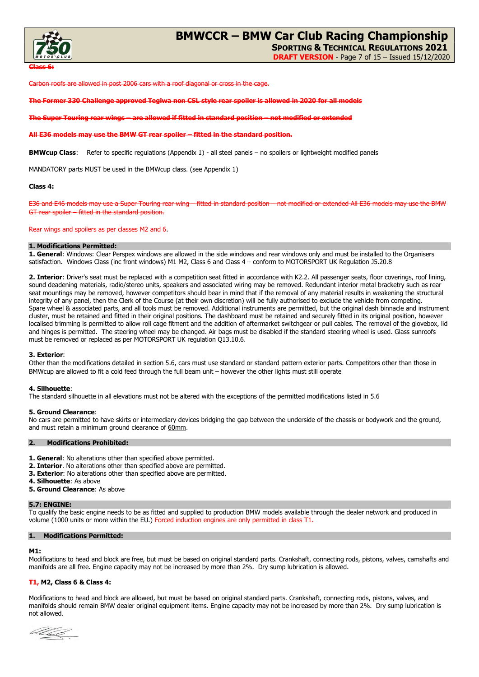

Class 6:

 SPORTING & TECHNICAL REGULATIONS 2021 DRAFT VERSION - Page 7 of 15 – Issued 15/12/2020

allowed in post 2006 cars with a roof diagonal or cross in the ca

The Former 330 Challenge approved Tegiwa non CSL style rear spoiler is allowed in 2020 for all models

The Super Touring rear wings – are allowed if fitted in standard position – not modified or extended

### All E36 models may use the BMW GT rear spoiler – fitted in the standard position.

BMWcup Class: Refer to specific regulations (Appendix 1) - all steel panels - no spoilers or lightweight modified panels

MANDATORY parts MUST be used in the BMWcup class. (see Appendix 1)

#### Class 4:

E36 and E46 models may use a Super Touring rear wing – fitted in standard position – not modified or extended All E36 models may use the BMW GT rear spoiler – fitted in the standard position.

#### Rear wings and spoilers as per classes M2 and 6.

#### 1. Modifications Permitted:

1. General: Windows: Clear Perspex windows are allowed in the side windows and rear windows only and must be installed to the Organisers satisfaction. Windows Class (inc front windows) M1 M2, Class 6 and Class 4 – conform to MOTORSPORT UK Regulation J5.20.8

2. Interior: Driver's seat must be replaced with a competition seat fitted in accordance with K2.2. All passenger seats, floor coverings, roof lining, sound deadening materials, radio/stereo units, speakers and associated wiring may be removed. Redundant interior metal bracketry such as rear seat mountings may be removed, however competitors should bear in mind that if the removal of any material results in weakening the structural integrity of any panel, then the Clerk of the Course (at their own discretion) will be fully authorised to exclude the vehicle from competing. Spare wheel & associated parts, and all tools must be removed. Additional instruments are permitted, but the original dash binnacle and instrument cluster, must be retained and fitted in their original positions. The dashboard must be retained and securely fitted in its original position, however localised trimming is permitted to allow roll cage fitment and the addition of aftermarket switchgear or pull cables. The removal of the glovebox, lid and hinges is permitted. The steering wheel may be changed. Air bags must be disabled if the standard steering wheel is used. Glass sunroofs must be removed or replaced as per MOTORSPORT UK regulation Q13.10.6.

### 3. Exterior:

Other than the modifications detailed in section 5.6, cars must use standard or standard pattern exterior parts. Competitors other than those in BMWcup are allowed to fit a cold feed through the full beam unit – however the other lights must still operate

### 4. Silhouette:

The standard silhouette in all elevations must not be altered with the exceptions of the permitted modifications listed in 5.6

#### 5. Ground Clearance:

No cars are permitted to have skirts or intermediary devices bridging the gap between the underside of the chassis or bodywork and the ground, and must retain a minimum ground clearance of 60mm.

### 2. Modifications Prohibited:

- 1. General: No alterations other than specified above permitted.
- 2. Interior. No alterations other than specified above are permitted.
- **3. Exterior:** No alterations other than specified above are permitted.
- 4. Silhouette: As above
- 5. Ground Clearance: As above

#### 5.7: ENGINE:

To qualify the basic engine needs to be as fitted and supplied to production BMW models available through the dealer network and produced in volume (1000 units or more within the EU.) Forced induction engines are only permitted in class T1.

#### 1. Modifications Permitted:

### M1:

Modifications to head and block are free, but must be based on original standard parts. Crankshaft, connecting rods, pistons, valves, camshafts and manifolds are all free. Engine capacity may not be increased by more than 2%. Dry sump lubrication is allowed.

### T1, M2, Class 6 & Class 4:

Modifications to head and block are allowed, but must be based on original standard parts. Crankshaft, connecting rods, pistons, valves, and manifolds should remain BMW dealer original equipment items. Engine capacity may not be increased by more than 2%. Dry sump lubrication is not allowed.

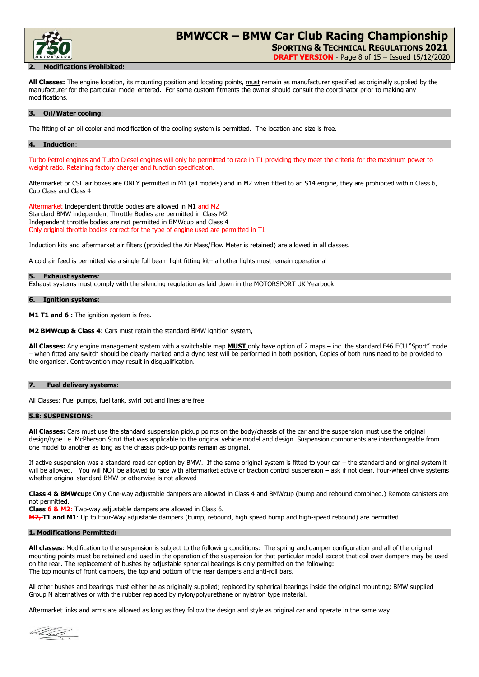

SPORTING & TECHNICAL REGULATIONS 2021

DRAFT VERSION - Page 8 of 15 – Issued 15/12/2020

## **Modifications Prohibited:**

All Classes: The engine location, its mounting position and locating points, must remain as manufacturer specified as originally supplied by the manufacturer for the particular model entered. For some custom fitments the owner should consult the coordinator prior to making any modifications.

### 3. Oil/Water cooling:

The fitting of an oil cooler and modification of the cooling system is permitted. The location and size is free.

### 4. Induction:

Turbo Petrol engines and Turbo Diesel engines will only be permitted to race in T1 providing they meet the criteria for the maximum power to weight ratio. Retaining factory charger and function specification.

Aftermarket or CSL air boxes are ONLY permitted in M1 (all models) and in M2 when fitted to an S14 engine, they are prohibited within Class 6, Cup Class and Class 4

Aftermarket Independent throttle bodies are allowed in M1 and M2 Standard BMW independent Throttle Bodies are permitted in Class M2 Independent throttle bodies are not permitted in BMWcup and Class 4 Only original throttle bodies correct for the type of engine used are permitted in T1

Induction kits and aftermarket air filters (provided the Air Mass/Flow Meter is retained) are allowed in all classes.

A cold air feed is permitted via a single full beam light fitting kit– all other lights must remain operational

### 5. Exhaust systems:

Exhaust systems must comply with the silencing regulation as laid down in the MOTORSPORT UK Yearbook

### 6. Ignition systems:

M1 T1 and 6 : The ignition system is free.

M2 BMWcup & Class 4: Cars must retain the standard BMW ignition system,

All Classes: Any engine management system with a switchable map **MUST** only have option of 2 maps – inc. the standard E46 ECU "Sport" mode – when fitted any switch should be clearly marked and a dyno test will be performed in both position, Copies of both runs need to be provided to the organiser. Contravention may result in disqualification.

### 7. Fuel delivery systems:

All Classes: Fuel pumps, fuel tank, swirl pot and lines are free.

### 5.8: SUSPENSIONS:

All Classes: Cars must use the standard suspension pickup points on the body/chassis of the car and the suspension must use the original design/type i.e. McPherson Strut that was applicable to the original vehicle model and design. Suspension components are interchangeable from one model to another as long as the chassis pick-up points remain as original.

If active suspension was a standard road car option by BMW. If the same original system is fitted to your car – the standard and original system it will be allowed. You will NOT be allowed to race with aftermarket active or traction control suspension – ask if not clear. Four-wheel drive systems whether original standard BMW or otherwise is not allowed

Class 4 & BMWcup: Only One-way adjustable dampers are allowed in Class 4 and BMWcup (bump and rebound combined.) Remote canisters are not permitted.

Class 6 & M2: Two-way adjustable dampers are allowed in Class 6.

M<sub>2</sub>, T1 and M1: Up to Four-Way adjustable dampers (bump, rebound, high speed bump and high-speed rebound) are permitted.

### 1. Modifications Permitted:

All classes: Modification to the suspension is subject to the following conditions: The spring and damper configuration and all of the original mounting points must be retained and used in the operation of the suspension for that particular model except that coil over dampers may be used on the rear. The replacement of bushes by adjustable spherical bearings is only permitted on the following: The top mounts of front dampers, the top and bottom of the rear dampers and anti-roll bars.

All other bushes and bearings must either be as originally supplied; replaced by spherical bearings inside the original mounting; BMW supplied Group N alternatives or with the rubber replaced by nylon/polyurethane or nylatron type material.

Aftermarket links and arms are allowed as long as they follow the design and style as original car and operate in the same way.

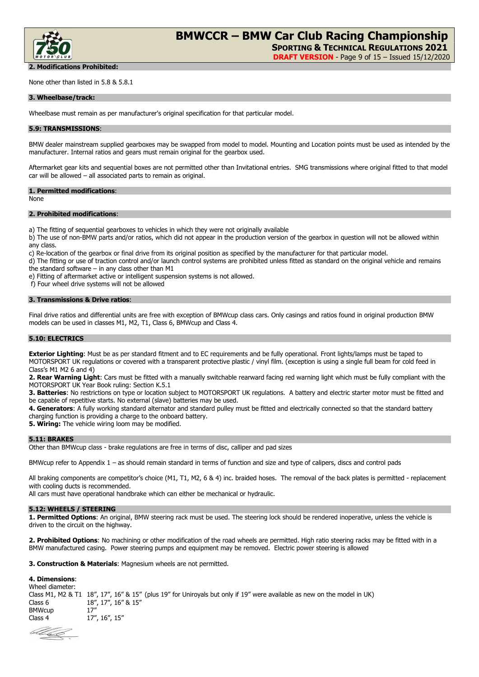

 SPORTING & TECHNICAL REGULATIONS 2021 DRAFT VERSION - Page 9 of 15 – Issued 15/12/2020

2. Modifications Prohibited:

None other than listed in 5.8 & 5.8.1

### 3. Wheelbase/track:

Wheelbase must remain as per manufacturer's original specification for that particular model.

### 5.9: TRANSMISSIONS:

BMW dealer mainstream supplied gearboxes may be swapped from model to model. Mounting and Location points must be used as intended by the manufacturer. Internal ratios and gears must remain original for the gearbox used.

Aftermarket gear kits and sequential boxes are not permitted other than Invitational entries. SMG transmissions where original fitted to that model car will be allowed – all associated parts to remain as original.

### 1. Permitted modifications:

None

### 2. Prohibited modifications:

a) The fitting of sequential gearboxes to vehicles in which they were not originally available

b) The use of non-BMW parts and/or ratios, which did not appear in the production version of the gearbox in question will not be allowed within any class.

c) Re-location of the gearbox or final drive from its original position as specified by the manufacturer for that particular model.

d) The fitting or use of traction control and/or launch control systems are prohibited unless fitted as standard on the original vehicle and remains the standard software – in any class other than M1

e) Fitting of aftermarket active or intelligent suspension systems is not allowed.

f) Four wheel drive systems will not be allowed

### 3. Transmissions & Drive ratios:

Final drive ratios and differential units are free with exception of BMWcup class cars. Only casings and ratios found in original production BMW models can be used in classes M1, M2, T1, Class 6, BMWcup and Class 4.

### 5.10: ELECTRICS

Exterior Lighting: Must be as per standard fitment and to EC requirements and be fully operational. Front lights/lamps must be taped to MOTORSPORT UK regulations or covered with a transparent protective plastic / vinyl film. (exception is using a single full beam for cold feed in Class's M1 M2 6 and 4)

2. Rear Warning Light: Cars must be fitted with a manually switchable rearward facing red warning light which must be fully compliant with the MOTORSPORT UK Year Book ruling: Section K.5.1

3. Batteries: No restrictions on type or location subject to MOTORSPORT UK regulations. A battery and electric starter motor must be fitted and be capable of repetitive starts. No external (slave) batteries may be used.

4. Generators: A fully working standard alternator and standard pulley must be fitted and electrically connected so that the standard battery charging function is providing a charge to the onboard battery.

**5. Wiring:** The vehicle wiring loom may be modified.

### 5.11: BRAKES

Other than BMWcup class - brake regulations are free in terms of disc, calliper and pad sizes

BMWcup refer to Appendix 1 – as should remain standard in terms of function and size and type of calipers, discs and control pads

All braking components are competitor's choice (M1, T1, M2, 6 & 4) inc. braided hoses. The removal of the back plates is permitted - replacement with cooling ducts is recommended.

All cars must have operational handbrake which can either be mechanical or hydraulic.

### 5.12: WHEELS / STEERING

1. Permitted Options: An original, BMW steering rack must be used. The steering lock should be rendered inoperative, unless the vehicle is driven to the circuit on the highway.

2. Prohibited Options: No machining or other modification of the road wheels are permitted. High ratio steering racks may be fitted with in a BMW manufactured casing. Power steering pumps and equipment may be removed. Electric power steering is allowed

### 3. Construction & Materials: Magnesium wheels are not permitted.

### 4. Dimensions:

Wheel diameter: Class M1, M2 & T1 18", 17", 16" & 15" (plus 19" for Uniroyals but only if 19" were available as new on the model in UK) Class 6 18", 17", 16" & 15"<br>BMWcup 17" **BMWcup** Class 4 17", 16", 15"

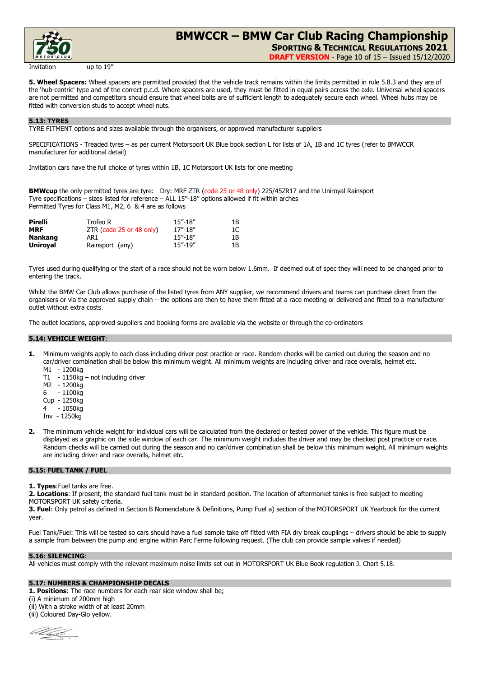

 SPORTING & TECHNICAL REGULATIONS 2021 **DRAFT VERSION** - Page 10 of 15 - Issued 15/12/2020

Invitation up to 19"

5. Wheel Spacers: Wheel spacers are permitted provided that the vehicle track remains within the limits permitted in rule 5.8.3 and they are of the 'hub-centric' type and of the correct p.c.d. Where spacers are used, they must be fitted in equal pairs across the axle. Universal wheel spacers are not permitted and competitors should ensure that wheel bolts are of sufficient length to adequately secure each wheel. Wheel hubs may be fitted with conversion studs to accept wheel nuts.

### 5.13: TYRES

TYRE FITMENT options and sizes available through the organisers, or approved manufacturer suppliers

SPECIFICATIONS - Treaded tyres – as per current Motorsport UK Blue book section L for lists of 1A, 1B and 1C tyres (refer to BMWCCR manufacturer for additional detail)

Invitation cars have the full choice of tyres within 1B, 1C Motorsport UK lists for one meeting

BMWcup the only permitted tyres are tyre: Dry: MRF ZTR (code 25 or 48 only) 225/45ZR17 and the Uniroyal Rainsport Tyre specifications – sizes listed for reference – ALL 15"-18" options allowed if fit within arches Permitted Tyres for Class M1, M2, 6 & 4 are as follows

| Pirelli<br><b>MRF</b> | Trofeo R<br>$ZTR$ (code 25 or 48 only) | $15'' - 18''$<br>$17 - 18$ | 1Β<br>1C |
|-----------------------|----------------------------------------|----------------------------|----------|
| <b>Nankang</b>        | AR 1                                   | $15'' - 18''$              | 1Β       |
| <b>Uniroyal</b>       | Rainsport (any)                        | $15 - 19$                  | 1В       |

Tyres used during qualifying or the start of a race should not be worn below 1.6mm. If deemed out of spec they will need to be changed prior to entering the track.

Whilst the BMW Car Club allows purchase of the listed tyres from ANY supplier, we recommend drivers and teams can purchase direct from the organisers or via the approved supply chain – the options are then to have them fitted at a race meeting or delivered and fitted to a manufacturer outlet without extra costs.

The outlet locations, approved suppliers and booking forms are available via the website or through the co-ordinators

### 5.14: VEHICLE WEIGHT:

- Minimum weights apply to each class including driver post practice or race. Random checks will be carried out during the season and no car/driver combination shall be below this minimum weight. All minimum weights are including driver and race overalls, helmet etc. M1 - 1200kg
	- T1 1150kg not including driver
	- M2 1200kg
	- 6 1100kg
	- Cup 1250kg
	- 4 1050kg
	- Inv 1250kg
- 2. The minimum vehicle weight for individual cars will be calculated from the declared or tested power of the vehicle. This figure must be displayed as a graphic on the side window of each car. The minimum weight includes the driver and may be checked post practice or race. Random checks will be carried out during the season and no car/driver combination shall be below this minimum weight. All minimum weights are including driver and race overalls, helmet etc.

### 5.15: FUEL TANK / FUEL

1. Types: Fuel tanks are free.

2. Locations: If present, the standard fuel tank must be in standard position. The location of aftermarket tanks is free subject to meeting MOTORSPORT UK safety criteria.

3. Fuel: Only petrol as defined in Section B Nomenclature & Definitions, Pump Fuel a) section of the MOTORSPORT UK Yearbook for the current year.

Fuel Tank/Fuel: This will be tested so cars should have a fuel sample take off fitted with FIA dry break couplings – drivers should be able to supply a sample from between the pump and engine within Parc Ferme following request. (The club can provide sample valves if needed)

### 5.16: SILENCING:

All vehicles must comply with the relevant maximum noise limits set out in MOTORSPORT UK Blue Book regulation J. Chart 5.18.

### 5.17: NUMBERS & CHAMPIONSHIP DECALS

1. Positions: The race numbers for each rear side window shall be;

(i) A minimum of 200mm high

(ii) With a stroke width of at least 20mm

(iii) Coloured Day-Glo yellow.

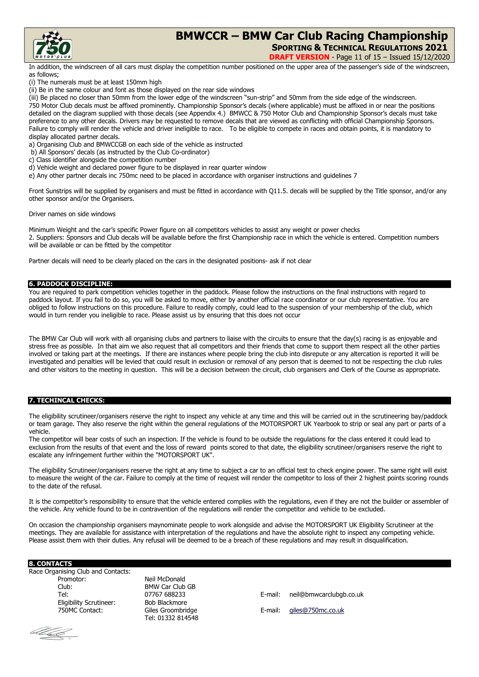

SPORTING & TECHNICAL REGULATIONS 2021

**DRAFT VERSION** - Page 11 of 15 - Issued 15/12/2020

In addition, the windscreen of all cars must display the competition number positioned on the upper area of the passenger's side of the windscreen, as follows;

(i) The numerals must be at least 150mm high

(ii) Be in the same colour and font as those displayed on the rear side windows

(iii) Be placed no closer than 50mm from the lower edge of the windscreen "sun-strip" and 50mm from the side edge of the windscreen. 750 Motor Club decals must be affixed prominently. Championship Sponsor's decals (where applicable) must be affixed in or near the positions detailed on the diagram supplied with those decals (see Appendix 4.) BMWCC & 750 Motor Club and Championship Sponsor's decals must take preference to any other decals. Drivers may be requested to remove decals that are viewed as conflicting with official Championship Sponsors. Failure to comply will render the vehicle and driver ineligible to race. To be eligible to compete in races and obtain points, it is mandatory to display allocated partner decals.

a) Organising Club and BMWCCGB on each side of the vehicle as instructed

b) All Sponsors' decals (as instructed by the Club Co-ordinator)

c) Class identifier alongside the competition number

d) Vehicle weight and declared power figure to be displayed in rear quarter window

e) Any other partner decals inc 750mc need to be placed in accordance with organiser instructions and guidelines 7

Front Sunstrips will be supplied by organisers and must be fitted in accordance with Q11.5. decals will be supplied by the Title sponsor, and/or any other sponsor and/or the Organisers.

Driver names on side windows

Minimum Weight and the car's specific Power figure on all competitors vehicles to assist any weight or power checks 2. Suppliers: Sponsors and Club decals will be available before the first Championship race in which the vehicle is entered. Competition numbers will be available or can be fitted by the competitor

Partner decals will need to be clearly placed on the cars in the designated positions- ask if not clear

### 6. PADDOCK DISCIPLINE:

You are required to park competition vehicles together in the paddock. Please follow the instructions on the final instructions with regard to paddock layout. If you fail to do so, you will be asked to move, either by another official race coordinator or our club representative. You are obliged to follow instructions on this procedure. Failure to readily comply, could lead to the suspension of your membership of the club, which would in turn render you ineligible to race. Please assist us by ensuring that this does not occur

The BMW Car Club will work with all organising clubs and partners to liaise with the circuits to ensure that the day(s) racing is as enjoyable and stress free as possible. In that aim we also request that all competitors and their friends that come to support them respect all the other parties involved or taking part at the meetings. If there are instances where people bring the club into disrepute or any altercation is reported it will be investigated and penalties will be levied that could result in exclusion or removal of any person that is deemed to not be respecting the club rules and other visitors to the meeting in question. This will be a decision between the circuit, club organisers and Clerk of the Course as appropriate.

### 7. TECHINCAL CHECKS:

The eligibility scrutineer/organisers reserve the right to inspect any vehicle at any time and this will be carried out in the scrutineering bay/paddock or team garage. They also reserve the right within the general regulations of the MOTORSPORT UK Yearbook to strip or seal any part or parts of a vehicle.

The competitor will bear costs of such an inspection. If the vehicle is found to be outside the regulations for the class entered it could lead to exclusion from the results of that event and the loss of reward points scored to that date, the eligibility scrutineer/organisers reserve the right to escalate any infringement further within the "MOTORSPORT UK".

The eligibility Scrutineer/organisers reserve the right at any time to subject a car to an official test to check engine power. The same right will exist to measure the weight of the car. Failure to comply at the time of request will render the competitor to loss of their 2 highest points scoring rounds to the date of the refusal.

It is the competitor's responsibility to ensure that the vehicle entered complies with the regulations, even if they are not the builder or assembler of the vehicle. Any vehicle found to be in contravention of the regulations will render the competitor and vehicle to be excluded.

On occasion the championship organisers maynominate people to work alongside and advise the MOTORSPORT UK Eligibility Scrutineer at the meetings. They are available for assistance with interpretation of the regulations and have the absolute right to inspect any competing vehicle. Please assist them with their duties. Any refusal will be deemed to be a breach of these regulations and may result in disqualification.

### 8. CONTACTS

Race Organising Club and Contacts: Promotor: Neil McDonald Club: BMW Car Club GB Eligibility Scrutineer: Bob Blackmore<br>750MC Contact: Giles Groombridge

Tel: 01332 814548

Tel: 07767 688233 E-mail: neil@bmwcarclubgb.co.uk<br>Eligibility Scrutineer: Bob Blackmore E-mail: giles@750mc.co.uk

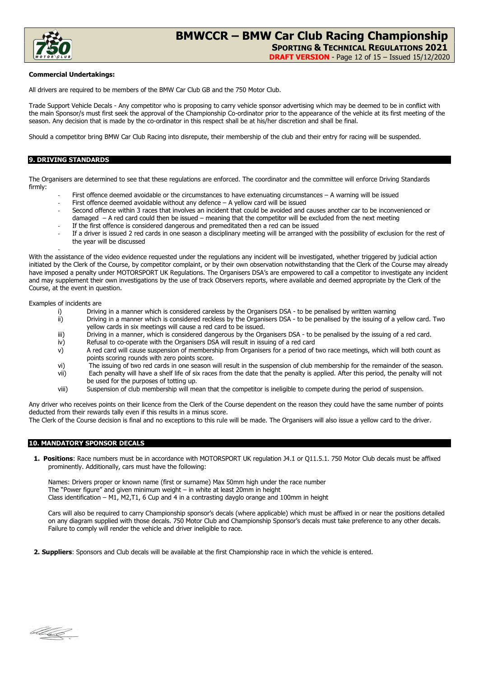

SPORTING & TECHNICAL REGULATIONS 2021

**DRAFT VERSION** - Page 12 of 15 - Issued 15/12/2020

### Commercial Undertakings:

All drivers are required to be members of the BMW Car Club GB and the 750 Motor Club.

Trade Support Vehicle Decals - Any competitor who is proposing to carry vehicle sponsor advertising which may be deemed to be in conflict with the main Sponsor/s must first seek the approval of the Championship Co-ordinator prior to the appearance of the vehicle at its first meeting of the season. Any decision that is made by the co-ordinator in this respect shall be at his/her discretion and shall be final.

Should a competitor bring BMW Car Club Racing into disrepute, their membership of the club and their entry for racing will be suspended.

### 9. DRIVING STANDARDS

The Organisers are determined to see that these regulations are enforced. The coordinator and the committee will enforce Driving Standards firmly:

- First offence deemed avoidable or the circumstances to have extenuating circumstances A warning will be issued
- First offence deemed avoidable without any defence  $-$  A yellow card will be issued
- Second offence within 3 races that involves an incident that could be avoided and causes another car to be inconvenienced or damaged – A red card could then be issued – meaning that the competitor will be excluded from the next meeting
- If the first offence is considered dangerous and premeditated then a red can be issued
- If a driver is issued 2 red cards in one season a disciplinary meeting will be arranged with the possibility of exclusion for the rest of the year will be discussed

With the assistance of the video evidence requested under the regulations any incident will be investigated, whether triggered by judicial action initiated by the Clerk of the Course, by competitor complaint, or by their own observation notwithstanding that the Clerk of the Course may already have imposed a penalty under MOTORSPORT UK Regulations. The Organisers DSA's are empowered to call a competitor to investigate any incident and may supplement their own investigations by the use of track Observers reports, where available and deemed appropriate by the Clerk of the Course, at the event in question.

Examples of incidents are

-

- i) Driving in a manner which is considered careless by the Organisers DSA to be penalised by written warning
- ii) Driving in a manner which is considered reckless by the Organisers DSA to be penalised by the issuing of a yellow card. Two yellow cards in six meetings will cause a red card to be issued.
- iii) Driving in a manner, which is considered dangerous by the Organisers DSA to be penalised by the issuing of a red card.
- iv) Refusal to co-operate with the Organisers DSA will result in issuing of a red card
- v) A red card will cause suspension of membership from Organisers for a period of two race meetings, which will both count as points scoring rounds with zero points score.
- vi) The issuing of two red cards in one season will result in the suspension of club membership for the remainder of the season. vii) Each penalty will have a shelf life of six races from the date that the penalty is applied. After this period, the penalty will not
- be used for the purposes of totting up.
- viii) Suspension of club membership will mean that the competitor is ineligible to compete during the period of suspension.

Any driver who receives points on their licence from the Clerk of the Course dependent on the reason they could have the same number of points deducted from their rewards tally even if this results in a minus score.

The Clerk of the Course decision is final and no exceptions to this rule will be made. The Organisers will also issue a yellow card to the driver.

### 10. MANDATORY SPONSOR DECALS

1. Positions: Race numbers must be in accordance with MOTORSPORT UK regulation J4.1 or Q11.5.1. 750 Motor Club decals must be affixed prominently. Additionally, cars must have the following:

Names: Drivers proper or known name (first or surname) Max 50mm high under the race number The "Power figure" and given minimum weight – in white at least 20mm in height Class identification – M1, M2,T1, 6 Cup and 4 in a contrasting dayglo orange and 100mm in height

Cars will also be required to carry Championship sponsor's decals (where applicable) which must be affixed in or near the positions detailed on any diagram supplied with those decals. 750 Motor Club and Championship Sponsor's decals must take preference to any other decals. Failure to comply will render the vehicle and driver ineligible to race.

2. Suppliers: Sponsors and Club decals will be available at the first Championship race in which the vehicle is entered.

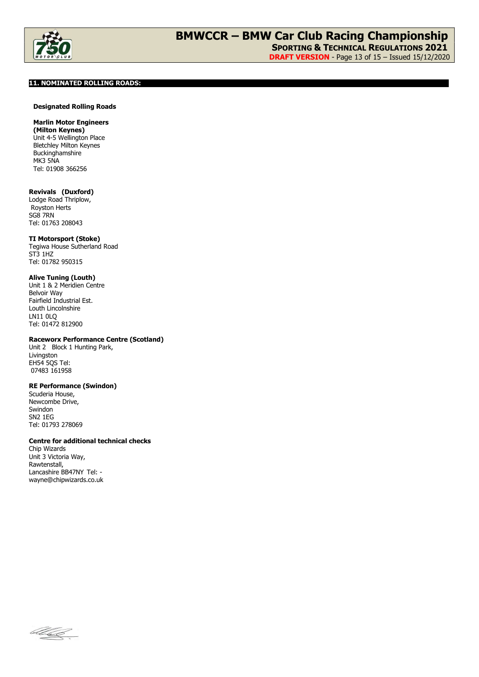

### 11. NOMINATED ROLLING ROADS:

### Designated Rolling Roads

### Marlin Motor Engineers

(Milton Keynes) Unit 4‐5 Wellington Place Bletchley Milton Keynes Buckinghamshire MK3 5NA Tel: 01908 366256

## Revivals (Duxford)

Lodge Road Thriplow, Royston Herts SG8 7RN Tel: 01763 208043

### TI Motorsport (Stoke)

Tegiwa House Sutherland Road ST3 1HZ Tel: 01782 950315

### Alive Tuning (Louth)

Unit 1 & 2 Meridien Centre Belvoir Way Fairfield Industrial Est. Louth Lincolnshire LN11 0LQ Tel: 01472 812900

### Raceworx Performance Centre (Scotland)

Unit 2 Block 1 Hunting Park, Livingston EH54 5QS Tel: 07483 161958

### RE Performance (Swindon)

Scuderia House, Newcombe Drive, Swindon SN2 1EG Tel: 01793 278069

### Centre for additional technical checks

Chip Wizards Unit 3 Victoria Way, Rawtenstall, Lancashire BB47NY Tel: wayne@chipwizards.co.uk

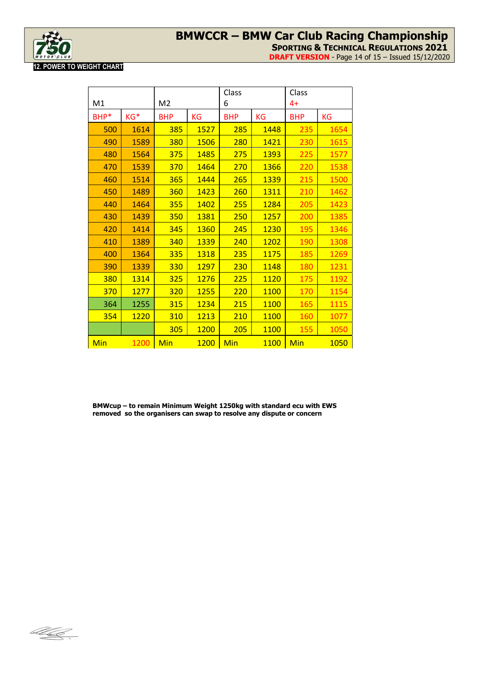

# BMWCCR – BMW Car Club Racing Championship SPORTING & TECHNICAL REGULATIONS 2021

DRAFT VERSION - Page 14 of 15 – Issued 15/12/2020

|      |      |                |           | Class      |             | Class      |      |
|------|------|----------------|-----------|------------|-------------|------------|------|
| M1   |      | M <sub>2</sub> |           | 6          |             | $4+$       |      |
| BHP* | KG*  | <b>BHP</b>     | <b>KG</b> | <b>BHP</b> | <b>KG</b>   | <b>BHP</b> | KG   |
| 500  | 1614 | 385            | 1527      | 285        | 1448        | 235        | 1654 |
| 490  | 1589 | 380            | 1506      | 280        | 1421        | 230        | 1615 |
| 480  | 1564 | 375            | 1485      | 275        | 1393        | 225        | 1577 |
| 470  | 1539 | 370            | 1464      | 270        | 1366        | 220        | 1538 |
| 460  | 1514 | 365            | 1444      | 265        | 1339        | 215        | 1500 |
| 450  | 1489 | 360            | 1423      | 260        | 1311        | 210        | 1462 |
| 440  | 1464 | 355            | 1402      | 255        | 1284        | 205        | 1423 |
| 430  | 1439 | 350            | 1381      | 250        | 1257        | 200        | 1385 |
| 420  | 1414 | 345            | 1360      | 245        | 1230        | 195        | 1346 |
| 410  | 1389 | 340            | 1339      | 240        | 1202        | 190        | 1308 |
| 400  | 1364 | 335            | 1318      | 235        | 1175        | 185        | 1269 |
| 390  | 1339 | 330            | 1297      | 230        | 1148        | 180        | 1231 |
| 380  | 1314 | 325            | 1276      | 225        | 1120        | 175        | 1192 |
| 370  | 1277 | <b>320</b>     | 1255      | 220        | 1100        | 170        | 1154 |
| 364  | 1255 | 315            | 1234      | 215        | 1100        | 165        | 1115 |
| 354  | 1220 | 310            | 1213      | 210        | 1100        | 160        | 1077 |
|      |      | 305            | 1200      | 205        | <b>1100</b> | 155        | 1050 |
| Min  | 1200 | Min            | 1200      | Min        | 1100        | Min        | 1050 |

BMWcup – to remain Minimum Weight 1250kg with standard ecu with EWS removed so the organisers can swap to resolve any dispute or concern